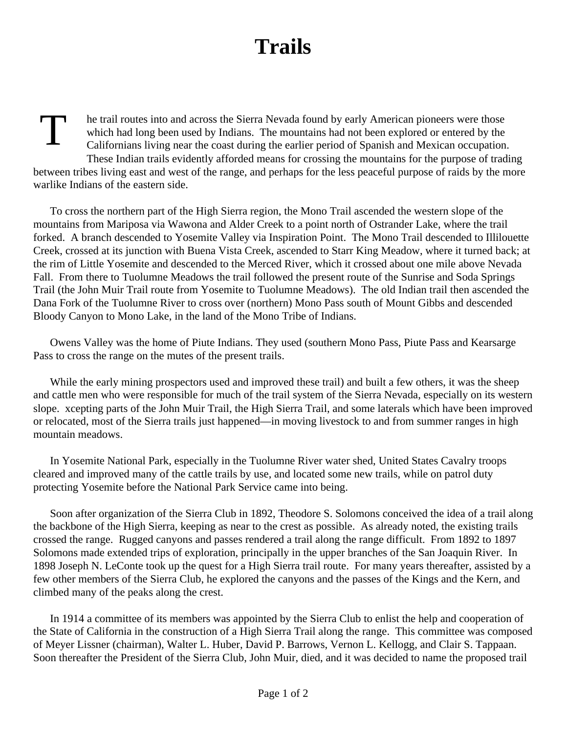## **Trails**

T he trail routes into and across the Sierra Nevada found by early American pioneers were those which had long been used by Indians. The mountains had not been explored or entered by the Californians living near the coast during the earlier period of Spanish and Mexican occupation. These Indian trails evidently afforded means for crossing the mountains for the purpose of trading between tribes living east and west of the range, and perhaps for the less peaceful purpose of raids by the more warlike Indians of the eastern side.

To cross the northern part of the High Sierra region, the Mono Trail ascended the western slope of the mountains from Mariposa via Wawona and Alder Creek to a point north of Ostrander Lake, where the trail forked. A branch descended to Yosemite Valley via Inspiration Point. The Mono Trail descended to Illilouette Creek, crossed at its junction with Buena Vista Creek, ascended to Starr King Meadow, where it turned back; at the rim of Little Yosemite and descended to the Merced River, which it crossed about one mile above Nevada Fall. From there to Tuolumne Meadows the trail followed the present route of the Sunrise and Soda Springs Trail (the John Muir Trail route from Yosemite to Tuolumne Meadows). The old Indian trail then ascended the Dana Fork of the Tuolumne River to cross over (northern) Mono Pass south of Mount Gibbs and descended Bloody Canyon to Mono Lake, in the land of the Mono Tribe of Indians.

Owens Valley was the home of Piute Indians. They used (southern Mono Pass, Piute Pass and Kearsarge Pass to cross the range on the mutes of the present trails.

While the early mining prospectors used and improved these trail) and built a few others, it was the sheep and cattle men who were responsible for much of the trail system of the Sierra Nevada, especially on its western slope. xcepting parts of the John Muir Trail, the High Sierra Trail, and some laterals which have been improved or relocated, most of the Sierra trails just happened—in moving livestock to and from summer ranges in high mountain meadows.

In Yosemite National Park, especially in the Tuolumne River water shed, United States Cavalry troops cleared and improved many of the cattle trails by use, and located some new trails, while on patrol duty protecting Yosemite before the National Park Service came into being.

Soon after organization of the Sierra Club in 1892, Theodore S. Solomons conceived the idea of a trail along the backbone of the High Sierra, keeping as near to the crest as possible. As already noted, the existing trails crossed the range. Rugged canyons and passes rendered a trail along the range difficult. From 1892 to 1897 Solomons made extended trips of exploration, principally in the upper branches of the San Joaquin River. In 1898 Joseph N. LeConte took up the quest for a High Sierra trail route. For many years thereafter, assisted by a few other members of the Sierra Club, he explored the canyons and the passes of the Kings and the Kern, and climbed many of the peaks along the crest.

In 1914 a committee of its members was appointed by the Sierra Club to enlist the help and cooperation of the State of California in the construction of a High Sierra Trail along the range. This committee was composed of Meyer Lissner (chairman), Walter L. Huber, David P. Barrows, Vernon L. Kellogg, and Clair S. Tappaan. Soon thereafter the President of the Sierra Club, John Muir, died, and it was decided to name the proposed trail